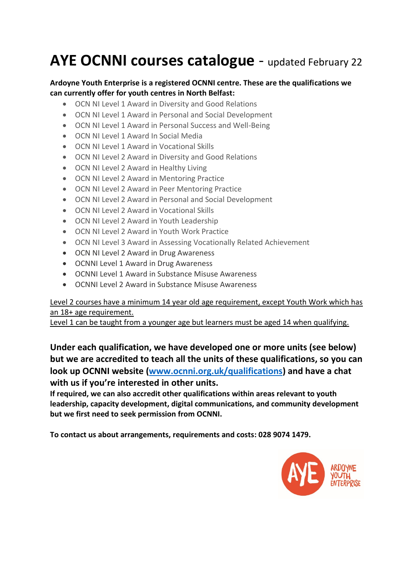# AYE OCNNI courses catalogue - updated February 22

#### **Ardoyne Youth Enterprise is a registered OCNNI centre. These are the qualifications we can currently offer for youth centres in North Belfast:**

- OCN NI Level 1 Award in Diversity and Good Relations
- OCN NI Level 1 Award in Personal and Social Development
- OCN NI Level 1 Award in Personal Success and Well-Being
- OCN NI Level 1 Award In Social Media
- OCN NI Level 1 Award in Vocational Skills
- OCN NI Level 2 Award in Diversity and Good Relations
- OCN NI Level 2 Award in Healthy Living
- OCN NI Level 2 Award in Mentoring Practice
- OCN NI Level 2 Award in Peer Mentoring Practice
- OCN NI Level 2 Award in Personal and Social Development
- OCN NI Level 2 Award in Vocational Skills
- OCN NI Level 2 Award in Youth Leadership
- OCN NI Level 2 Award in Youth Work Practice
- OCN NI Level 3 Award in Assessing Vocationally Related Achievement
- OCN NI Level 2 Award in Drug Awareness
- OCNNI Level 1 Award in Drug Awareness
- OCNNI Level 1 Award in Substance Misuse Awareness
- OCNNI Level 2 Award in Substance Misuse Awareness

#### Level 2 courses have a minimum 14 year old age requirement, except Youth Work which has an 18+ age requirement.

Level 1 can be taught from a younger age but learners must be aged 14 when qualifying.

**Under each qualification, we have developed one or more units (see below) but we are accredited to teach all the units of these qualifications, so you can look up OCNNI website [\(www.ocnni.org.uk/qualifications\)](http://www.ocnni.org.uk/qualifications) and have a chat with us if you're interested in other units.**

**If required, we can also accredit other qualifications within areas relevant to youth leadership, capacity development, digital communications, and community development but we first need to seek permission from OCNNI.**

**To contact us about arrangements, requirements and costs: 028 9074 1479.**

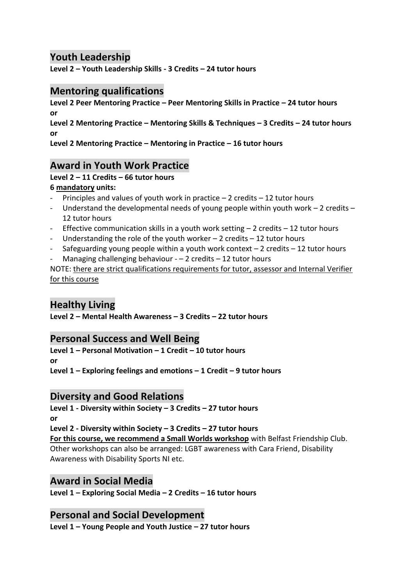## **Youth Leadership**

**Level 2 – Youth Leadership Skills - 3 Credits – 24 tutor hours**

## **Mentoring qualifications**

**Level 2 Peer Mentoring Practice – Peer Mentoring Skills in Practice – 24 tutor hours or Level 2 Mentoring Practice – Mentoring Skills & Techniques – 3 Credits – 24 tutor hours or**

**Level 2 Mentoring Practice – Mentoring in Practice – 16 tutor hours**

## **Award in Youth Work Practice**

## **Level 2 – 11 Credits – 66 tutor hours**

#### **6 mandatory units:**

- Principles and values of youth work in practice  $-2$  credits  $-12$  tutor hours
- Understand the developmental needs of young people within youth work 2 credits 12 tutor hours
- Effective communication skills in a youth work setting  $-2$  credits  $-12$  tutor hours
- Understanding the role of the youth worker 2 credits 12 tutor hours
- Safeguarding young people within a youth work context  $-2$  credits  $-12$  tutor hours
- Managing challenging behaviour  $-2$  credits  $-12$  tutor hours

NOTE: there are strict qualifications requirements for tutor, assessor and Internal Verifier for this course

## **Healthy Living**

**Level 2 – Mental Health Awareness – 3 Credits – 22 tutor hours**

## **Personal Success and Well Being**

**Level 1 – Personal Motivation – 1 Credit – 10 tutor hours or**

**Level 1 – Exploring feelings and emotions – 1 Credit – 9 tutor hours**

## **Diversity and Good Relations**

**Level 1 - Diversity within Society – 3 Credits – 27 tutor hours or**

**Level 2 - Diversity within Society – 3 Credits – 27 tutor hours**

**For this course, we recommend a Small Worlds workshop** with Belfast Friendship Club. Other workshops can also be arranged: LGBT awareness with Cara Friend, Disability Awareness with Disability Sports NI etc.

#### **Award in Social Media**

**Level 1 – Exploring Social Media – 2 Credits – 16 tutor hours**

## **Personal and Social Development**

**Level 1 – Young People and Youth Justice – 27 tutor hours**